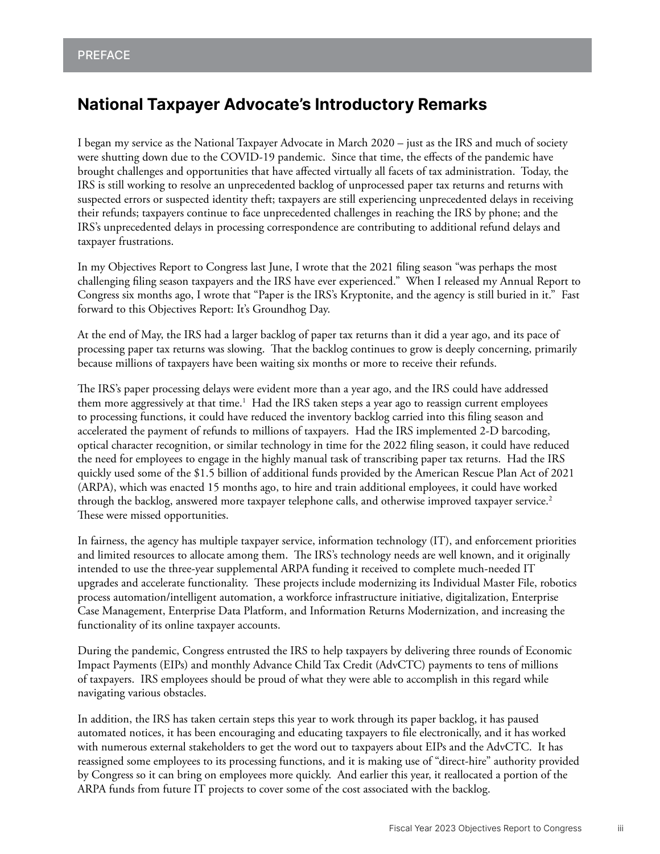# <span id="page-0-0"></span>**National Taxpayer Advocate's Introductory Remarks**

I began my service as the National Taxpayer Advocate in March 2020 – just as the IRS and much of society were shutting down due to the COVID-19 pandemic. Since that time, the effects of the pandemic have brought challenges and opportunities that have affected virtually all facets of tax administration. Today, the IRS is still working to resolve an unprecedented backlog of unprocessed paper tax returns and returns with suspected errors or suspected identity theft; taxpayers are still experiencing unprecedented delays in receiving their refunds; taxpayers continue to face unprecedented challenges in reaching the IRS by phone; and the IRS's unprecedented delays in processing correspondence are contributing to additional refund delays and taxpayer frustrations.

In my Objectives Report to Congress last June, I wrote that the 2021 filing season "was perhaps the most challenging filing season taxpayers and the IRS have ever experienced." When I released my Annual Report to Congress six months ago, I wrote that "Paper is the IRS's Kryptonite, and the agency is still buried in it." Fast forward to this Objectives Report: It's Groundhog Day.

At the end of May, the IRS had a larger backlog of paper tax returns than it did a year ago, and its pace of processing paper tax returns was slowing. That the backlog continues to grow is deeply concerning, primarily because millions of taxpayers have been waiting six months or more to receive their refunds.

The IRS's paper processing delays were evident more than a year ago, and the IRS could have addressed them more aggressively at that time.<sup>1</sup> Had the IRS taken steps a year ago to reassign current employees to processing functions, it could have reduced the inventory backlog carried into this filing season and accelerated the payment of refunds to millions of taxpayers. Had the IRS implemented 2-D barcoding, optical character recognition, or similar technology in time for the 2022 filing season, it could have reduced the need for employees to engage in the highly manual task of transcribing paper tax returns. Had the IRS quickly used some of the \$1.5 billion of additional funds provided by the American Rescue Plan Act of 2021 (ARPA), which was enacted 15 months ago, to hire and train additional employees, it could have worked through the backlog, answered more taxpayer telephone calls, and otherwise improved taxpayer service. $^2$ These were missed opportunities.

In fairness, the agency has multiple taxpayer service, information technology (IT), and enforcement priorities and limited resources to allocate among them. The IRS's technology needs are well known, and it originally intended to use the three-year supplemental ARPA funding it received to complete much-needed IT upgrades and accelerate functionality. These projects include modernizing its Individual Master File, robotics process automation/intelligent automation, a workforce infrastructure initiative, digitalization, Enterprise Case Management, Enterprise Data Platform, and Information Returns Modernization, and increasing the functionality of its online taxpayer accounts.

During the pandemic, Congress entrusted the IRS to help taxpayers by delivering three rounds of Economic Impact Payments (EIPs) and monthly Advance Child Tax Credit (AdvCTC) payments to tens of millions of taxpayers. IRS employees should be proud of what they were able to accomplish in this regard while navigating various obstacles.

In addition, the IRS has taken certain steps this year to work through its paper backlog, it has paused automated notices, it has been encouraging and educating taxpayers to file electronically, and it has worked with numerous external stakeholders to get the word out to taxpayers about EIPs and the AdvCTC. It has reassigned some employees to its processing functions, and it is making use of "direct-hire" authority provided by Congress so it can bring on employees more quickly. And earlier this year, it reallocated a portion of the ARPA funds from future IT projects to cover some of the cost associated with the backlog.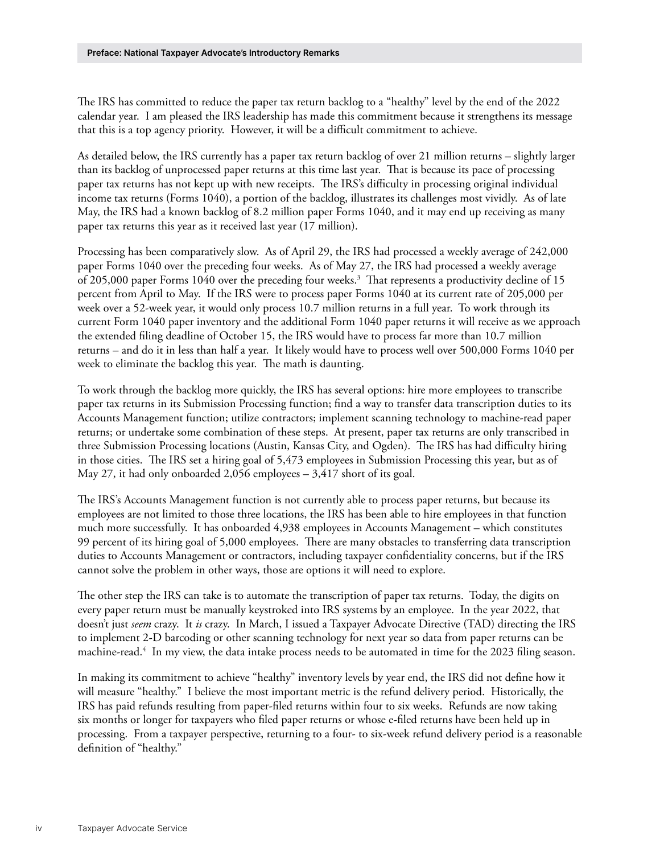<span id="page-1-0"></span>The IRS has committed to reduce the paper tax return backlog to a "healthy" level by the end of the 2022 calendar year. I am pleased the IRS leadership has made this commitment because it strengthens its message that this is a top agency priority. However, it will be a difficult commitment to achieve.

As detailed below, the IRS currently has a paper tax return backlog of over 21 million returns – slightly larger than its backlog of unprocessed paper returns at this time last year. That is because its pace of processing paper tax returns has not kept up with new receipts. The IRS's difficulty in processing original individual income tax returns (Forms 1040), a portion of the backlog, illustrates its challenges most vividly. As of late May, the IRS had a known backlog of 8.2 million paper Forms 1040, and it may end up receiving as many paper tax returns this year as it received last year (17 million).

Processing has been comparatively slow. As of April 29, the IRS had processed a weekly average of 242,000 paper Forms 1040 over the preceding four weeks. As of May 27, the IRS had processed a weekly average of 205,000 paper Forms 1040 over the preceding four weeks.<sup>3</sup> That represents a productivity decline of 15 percent from April to May. If the IRS were to process paper Forms 1040 at its current rate of 205,000 per week over a 52-week year, it would only process 10.7 million returns in a full year. To work through its current Form 1040 paper inventory and the additional Form 1040 paper returns it will receive as we approach the extended filing deadline of October 15, the IRS would have to process far more than 10.7 million returns – and do it in less than half a year. It likely would have to process well over 500,000 Forms 1040 per week to eliminate the backlog this year. The math is daunting.

To work through the backlog more quickly, the IRS has several options: hire more employees to transcribe paper tax returns in its Submission Processing function; find a way to transfer data transcription duties to its Accounts Management function; utilize contractors; implement scanning technology to machine-read paper returns; or undertake some combination of these steps. At present, paper tax returns are only transcribed in three Submission Processing locations (Austin, Kansas City, and Ogden). The IRS has had difficulty hiring in those cities. The IRS set a hiring goal of 5,473 employees in Submission Processing this year, but as of May 27, it had only onboarded 2,056 employees – 3,417 short of its goal.

The IRS's Accounts Management function is not currently able to process paper returns, but because its employees are not limited to those three locations, the IRS has been able to hire employees in that function much more successfully. It has onboarded 4,938 employees in Accounts Management – which constitutes 99 percent of its hiring goal of 5,000 employees. There are many obstacles to transferring data transcription duties to Accounts Management or contractors, including taxpayer confidentiality concerns, but if the IRS cannot solve the problem in other ways, those are options it will need to explore.

The other step the IRS can take is to automate the transcription of paper tax returns. Today, the digits on every paper return must be manually keystroked into IRS systems by an employee. In the year 2022, that doesn't just *seem* crazy. It *is* crazy. In March, I issued a Taxpayer Advocate Directive (TAD) directing the IRS to implement 2-D barcoding or other scanning technology for next year so data from paper returns can be machine-read[.4](#page-6-0) In my view, the data intake process needs to be automated in time for the 2023 filing season.

In making its commitment to achieve "healthy" inventory levels by year end, the IRS did not define how it will measure "healthy." I believe the most important metric is the refund delivery period. Historically, the IRS has paid refunds resulting from paper-filed returns within four to six weeks. Refunds are now taking six months or longer for taxpayers who filed paper returns or whose e-filed returns have been held up in processing. From a taxpayer perspective, returning to a four- to six-week refund delivery period is a reasonable definition of "healthy."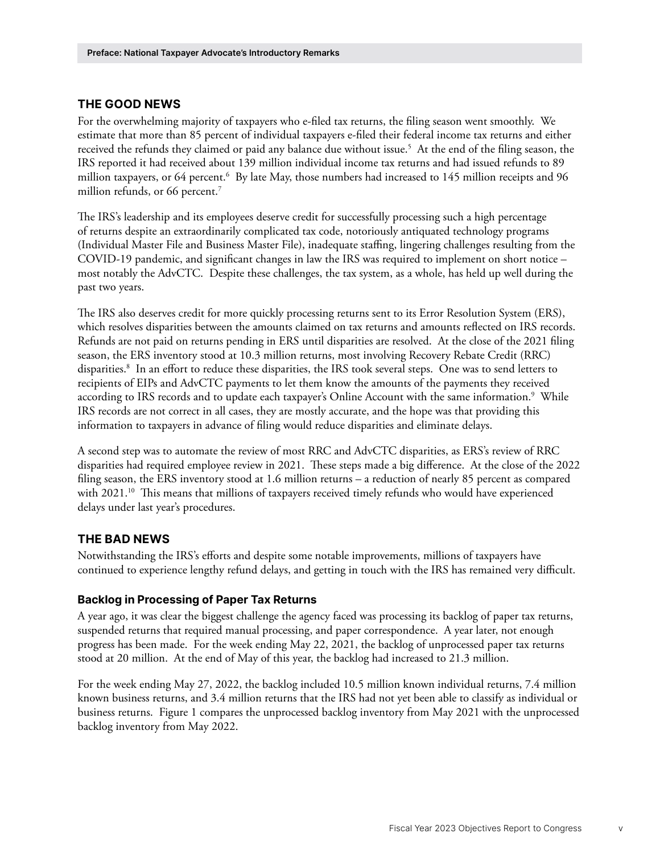### <span id="page-2-0"></span>**THE GOOD NEWS**

For the overwhelming majority of taxpayers who e-filed tax returns, the filing season went smoothly. We estimate that more than 85 percent of individual taxpayers e-filed their federal income tax returns and either received the refunds they claimed or paid any balance due without issue.<sup>5</sup> At the end of the filing season, the IRS reported it had received about 139 million individual income tax returns and had issued refunds to 89 million taxpayers, or [6](#page-6-0)4 percent.<sup>6</sup> By late May, those numbers had increased to 145 million receipts and 96 million refunds, or 66 percent.<sup>7</sup>

The IRS's leadership and its employees deserve credit for successfully processing such a high percentage of returns despite an extraordinarily complicated tax code, notoriously antiquated technology programs (Individual Master File and Business Master File), inadequate staffing, lingering challenges resulting from the COVID-19 pandemic, and significant changes in law the IRS was required to implement on short notice – most notably the AdvCTC. Despite these challenges, the tax system, as a whole, has held up well during the past two years.

The IRS also deserves credit for more quickly processing returns sent to its Error Resolution System (ERS), which resolves disparities between the amounts claimed on tax returns and amounts reflected on IRS records. Refunds are not paid on returns pending in ERS until disparities are resolved. At the close of the 2021 filing season, the ERS inventory stood at 10.3 million returns, most involving Recovery Rebate Credit (RRC) disparities[.8](#page-6-0) In an effort to reduce these disparities, the IRS took several steps. One was to send letters to recipients of EIPs and AdvCTC payments to let them know the amounts of the payments they received according to IRS records and to update each taxpayer's Online Account with the same information.<sup>[9](#page-6-0)</sup> While IRS records are not correct in all cases, they are mostly accurate, and the hope was that providing this information to taxpayers in advance of filing would reduce disparities and eliminate delays.

A second step was to automate the review of most RRC and AdvCTC disparities, as ERS's review of RRC disparities had required employee review in 2021. These steps made a big difference. At the close of the 2022 filing season, the ERS inventory stood at 1.6 million returns – a reduction of nearly 85 percent as compared with 2021.<sup>[10](#page-6-0)</sup> This means that millions of taxpayers received timely refunds who would have experienced delays under last year's procedures.

#### **THE BAD NEWS**

Notwithstanding the IRS's efforts and despite some notable improvements, millions of taxpayers have continued to experience lengthy refund delays, and getting in touch with the IRS has remained very difficult.

#### **Backlog in Processing of Paper Tax Returns**

A year ago, it was clear the biggest challenge the agency faced was processing its backlog of paper tax returns, suspended returns that required manual processing, and paper correspondence. A year later, not enough progress has been made. For the week ending May 22, 2021, the backlog of unprocessed paper tax returns stood at 20 million. At the end of May of this year, the backlog had increased to 21.3 million.

For the week ending May 27, 2022, the backlog included 10.5 million known individual returns, 7.4 million known business returns, and 3.4 million returns that the IRS had not yet been able to classify as individual or business returns. Figure 1 compares the unprocessed backlog inventory from May 2021 with the unprocessed backlog inventory from May 2022.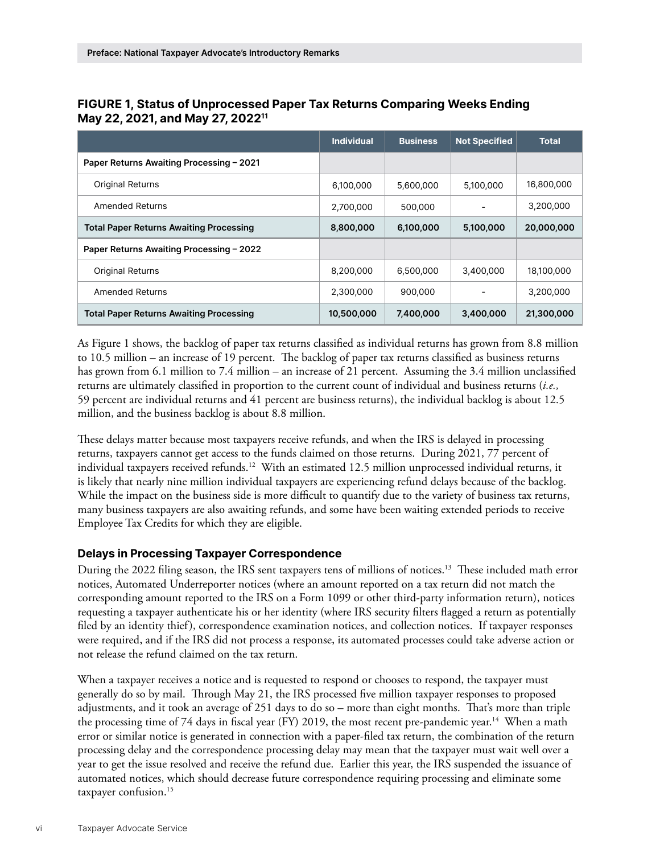|                                                | <b>Individual</b> | <b>Business</b> | <b>Not Specified</b> | <b>Total</b> |
|------------------------------------------------|-------------------|-----------------|----------------------|--------------|
| Paper Returns Awaiting Processing - 2021       |                   |                 |                      |              |
| <b>Original Returns</b>                        | 6,100,000         | 5,600,000       | 5,100,000            | 16,800,000   |
| Amended Returns                                | 2,700,000         | 500,000         |                      | 3,200,000    |
| <b>Total Paper Returns Awaiting Processing</b> | 8,800,000         | 6,100,000       | 5,100,000            | 20,000,000   |
| Paper Returns Awaiting Processing - 2022       |                   |                 |                      |              |
| <b>Original Returns</b>                        | 8,200,000         | 6,500,000       | 3,400,000            | 18,100,000   |
| Amended Returns                                | 2,300,000         | 900,000         |                      | 3,200,000    |
| <b>Total Paper Returns Awaiting Processing</b> | 10,500,000        | 7,400,000       | 3,400,000            | 21,300,000   |

<span id="page-3-0"></span>**FIGURE 1, Status of Unprocessed Paper Tax Returns Comparing Weeks Ending May 22, 2021, and May 27, 202[211](#page-6-0)**

As Figure 1 shows, the backlog of paper tax returns classified as individual returns has grown from 8.8 million to 10.5 million – an increase of 19 percent. The backlog of paper tax returns classified as business returns has grown from 6.1 million to 7.4 million – an increase of 21 percent. Assuming the 3.4 million unclassified returns are ultimately classified in proportion to the current count of individual and business returns (*i.e.,* 59 percent are individual returns and 41 percent are business returns), the individual backlog is about 12.5 million, and the business backlog is about 8.8 million.

These delays matter because most taxpayers receive refunds, and when the IRS is delayed in processing returns, taxpayers cannot get access to the funds claimed on those returns. During 2021, 77 percent of individual taxpayers received refunds.[12](#page-7-0) With an estimated 12.5 million unprocessed individual returns, it is likely that nearly nine million individual taxpayers are experiencing refund delays because of the backlog. While the impact on the business side is more difficult to quantify due to the variety of business tax returns, many business taxpayers are also awaiting refunds, and some have been waiting extended periods to receive Employee Tax Credits for which they are eligible.

#### **Delays in Processing Taxpayer Correspondence**

During the 2022 filing season, the IRS sent taxpayers tens of millions of notices.[13](#page-7-0) These included math error notices, Automated Underreporter notices (where an amount reported on a tax return did not match the corresponding amount reported to the IRS on a Form 1099 or other third-party information return), notices requesting a taxpayer authenticate his or her identity (where IRS security filters flagged a return as potentially filed by an identity thief), correspondence examination notices, and collection notices. If taxpayer responses were required, and if the IRS did not process a response, its automated processes could take adverse action or not release the refund claimed on the tax return.

When a taxpayer receives a notice and is requested to respond or chooses to respond, the taxpayer must generally do so by mail. Through May 21, the IRS processed five million taxpayer responses to proposed adjustments, and it took an average of 251 days to do so – more than eight months. That's more than triple the processing time of 74 days in fiscal year (FY) 2019, the most recent pre-pandemic year.<sup>14</sup> When a math error or similar notice is generated in connection with a paper-filed tax return, the combination of the return processing delay and the correspondence processing delay may mean that the taxpayer must wait well over a year to get the issue resolved and receive the refund due. Earlier this year, the IRS suspended the issuance of automated notices, which should decrease future correspondence requiring processing and eliminate some taxpayer confusion.<sup>[15](#page-7-0)</sup>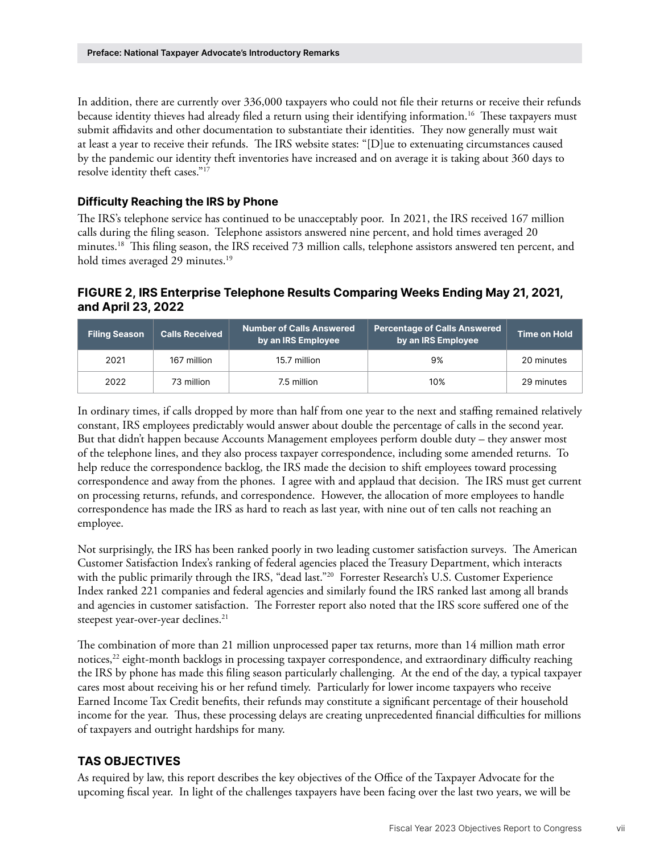<span id="page-4-0"></span>In addition, there are currently over 336,000 taxpayers who could not file their returns or receive their refunds because identity thieves had already filed a return using their identifying information.[16](#page-7-0) These taxpayers must submit affidavits and other documentation to substantiate their identities. They now generally must wait at least a year to receive their refunds. The IRS website states: "[D]ue to extenuating circumstances caused by the pandemic our identity theft inventories have increased and on average it is taking about 360 days to resolve identity theft cases."[17](#page-7-0)

### **Difficulty Reaching the IRS by Phone**

The IRS's telephone service has continued to be unacceptably poor. In 2021, the IRS received 167 million calls during the filing season. Telephone assistors answered nine percent, and hold times averaged 20 minutes.[18](#page-7-0) This filing season, the IRS received 73 million calls, telephone assistors answered ten percent, and hold times averaged 29 minutes.<sup>19</sup>

# **FIGURE 2, IRS Enterprise Telephone Results Comparing Weeks Ending May 21, 2021, and April 23, 2022**

| <b>Filing Season</b> | <b>Calls Received</b> | <b>Number of Calls Answered</b><br>by an IRS Employee | <b>Percentage of Calls Answered</b><br>by an IRS Employee | Time on Hold |
|----------------------|-----------------------|-------------------------------------------------------|-----------------------------------------------------------|--------------|
| 2021                 | 167 million           | 15.7 million                                          | 9%                                                        | 20 minutes   |
| 2022                 | 73 million            | 7.5 million                                           | 10%                                                       | 29 minutes   |

In ordinary times, if calls dropped by more than half from one year to the next and staffing remained relatively constant, IRS employees predictably would answer about double the percentage of calls in the second year. But that didn't happen because Accounts Management employees perform double duty – they answer most of the telephone lines, and they also process taxpayer correspondence, including some amended returns. To help reduce the correspondence backlog, the IRS made the decision to shift employees toward processing correspondence and away from the phones. I agree with and applaud that decision. The IRS must get current on processing returns, refunds, and correspondence. However, the allocation of more employees to handle correspondence has made the IRS as hard to reach as last year, with nine out of ten calls not reaching an employee.

Not surprisingly, the IRS has been ranked poorly in two leading customer satisfaction surveys. The American Customer Satisfaction Index's ranking of federal agencies placed the Treasury Department, which interacts with the public primarily through the IRS, "dead last."<sup>20</sup> Forrester Research's U.S. Customer Experience Index ranked 221 companies and federal agencies and similarly found the IRS ranked last among all brands and agencies in customer satisfaction. The Forrester report also noted that the IRS score suffered one of the steepest year-over-year declines.<sup>[21](#page-7-0)</sup>

The combination of more than 21 million unprocessed paper tax returns, more than 14 million math error notices,<sup>22</sup> eight-month backlogs in processing taxpayer correspondence, and extraordinary difficulty reaching the IRS by phone has made this filing season particularly challenging. At the end of the day, a typical taxpayer cares most about receiving his or her refund timely. Particularly for lower income taxpayers who receive Earned Income Tax Credit benefits, their refunds may constitute a significant percentage of their household income for the year. Thus, these processing delays are creating unprecedented financial difficulties for millions of taxpayers and outright hardships for many.

## **TAS OBJECTIVES**

As required by law, this report describes the key objectives of the Office of the Taxpayer Advocate for the upcoming fiscal year. In light of the challenges taxpayers have been facing over the last two years, we will be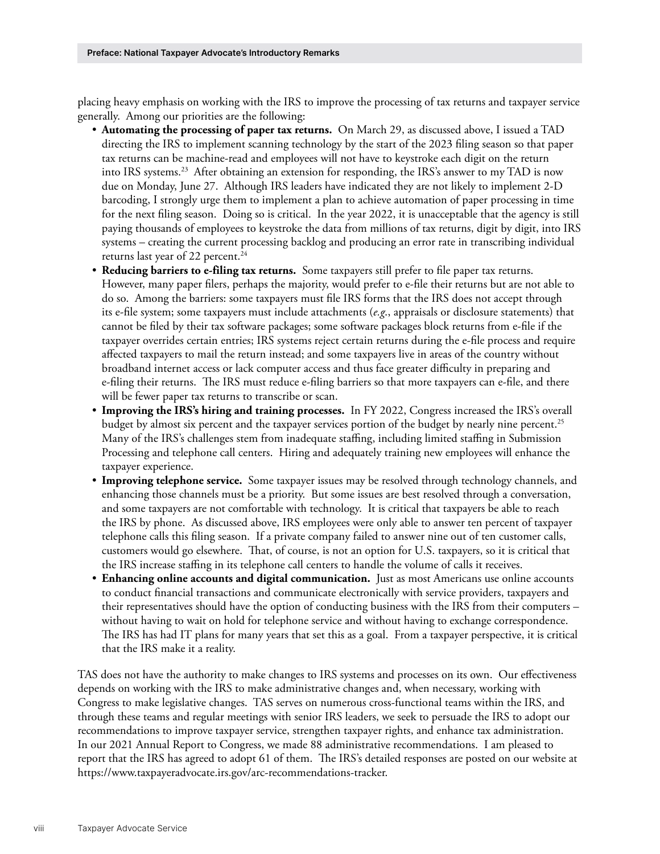<span id="page-5-0"></span>placing heavy emphasis on working with the IRS to improve the processing of tax returns and taxpayer service generally. Among our priorities are the following:

- **Automating the processing of paper tax returns.** On March 29, as discussed above, I issued a TAD directing the IRS to implement scanning technology by the start of the 2023 filing season so that paper tax returns can be machine-read and employees will not have to keystroke each digit on the return into IRS systems.<sup>23</sup> After obtaining an extension for responding, the IRS's answer to my TAD is now due on Monday, June 27. Although IRS leaders have indicated they are not likely to implement 2-D barcoding, I strongly urge them to implement a plan to achieve automation of paper processing in time for the next filing season. Doing so is critical. In the year 2022, it is unacceptable that the agency is still paying thousands of employees to keystroke the data from millions of tax returns, digit by digit, into IRS systems – creating the current processing backlog and producing an error rate in transcribing individual returns last year of 22 percent.<sup>24</sup>
- **Reducing barriers to e-filing tax returns.** Some taxpayers still prefer to file paper tax returns. However, many paper filers, perhaps the majority, would prefer to e-file their returns but are not able to do so. Among the barriers: some taxpayers must file IRS forms that the IRS does not accept through its e-file system; some taxpayers must include attachments (*e.g*., appraisals or disclosure statements) that cannot be filed by their tax software packages; some software packages block returns from e-file if the taxpayer overrides certain entries; IRS systems reject certain returns during the e-file process and require affected taxpayers to mail the return instead; and some taxpayers live in areas of the country without broadband internet access or lack computer access and thus face greater difficulty in preparing and e-filing their returns. The IRS must reduce e-filing barriers so that more taxpayers can e-file, and there will be fewer paper tax returns to transcribe or scan.
- **Improving the IRS's hiring and training processes.** In FY 2022, Congress increased the IRS's overall budget by almost six percent and the taxpayer services portion of the budget by nearly nine percent.<sup>25</sup> Many of the IRS's challenges stem from inadequate staffing, including limited staffing in Submission Processing and telephone call centers. Hiring and adequately training new employees will enhance the taxpayer experience.
- **Improving telephone service.** Some taxpayer issues may be resolved through technology channels, and enhancing those channels must be a priority. But some issues are best resolved through a conversation, and some taxpayers are not comfortable with technology. It is critical that taxpayers be able to reach the IRS by phone. As discussed above, IRS employees were only able to answer ten percent of taxpayer telephone calls this filing season. If a private company failed to answer nine out of ten customer calls, customers would go elsewhere. That, of course, is not an option for U.S. taxpayers, so it is critical that the IRS increase staffing in its telephone call centers to handle the volume of calls it receives.
- **Enhancing online accounts and digital communication.** Just as most Americans use online accounts to conduct financial transactions and communicate electronically with service providers, taxpayers and their representatives should have the option of conducting business with the IRS from their computers – without having to wait on hold for telephone service and without having to exchange correspondence. The IRS has had IT plans for many years that set this as a goal. From a taxpayer perspective, it is critical that the IRS make it a reality.

TAS does not have the authority to make changes to IRS systems and processes on its own. Our effectiveness depends on working with the IRS to make administrative changes and, when necessary, working with Congress to make legislative changes. TAS serves on numerous cross-functional teams within the IRS, and through these teams and regular meetings with senior IRS leaders, we seek to persuade the IRS to adopt our recommendations to improve taxpayer service, strengthen taxpayer rights, and enhance tax administration. In our 2021 Annual Report to Congress, we made 88 administrative recommendations. I am pleased to report that the IRS has agreed to adopt 61 of them. The IRS's detailed responses are posted on our website at <https://www.taxpayeradvocate.irs.gov/arc-recommendations-tracker>.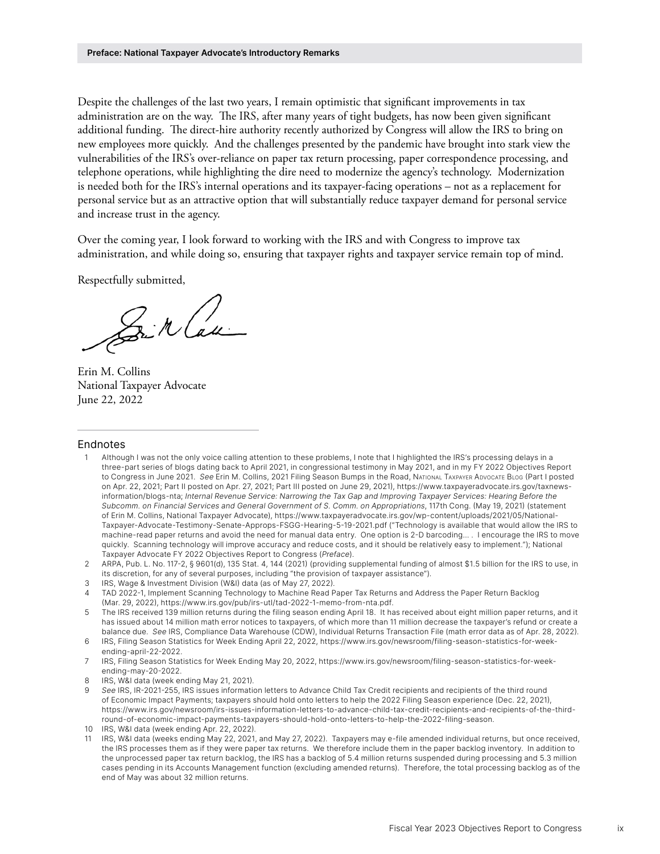<span id="page-6-0"></span>Despite the challenges of the last two years, I remain optimistic that significant improvements in tax administration are on the way. The IRS, after many years of tight budgets, has now been given significant additional funding. The direct-hire authority recently authorized by Congress will allow the IRS to bring on new employees more quickly. And the challenges presented by the pandemic have brought into stark view the vulnerabilities of the IRS's over-reliance on paper tax return processing, paper correspondence processing, and telephone operations, while highlighting the dire need to modernize the agency's technology. Modernization is needed both for the IRS's internal operations and its taxpayer-facing operations – not as a replacement for personal service but as an attractive option that will substantially reduce taxpayer demand for personal service and increase trust in the agency.

Over the coming year, I look forward to working with the IRS and with Congress to improve tax administration, and while doing so, ensuring that taxpayer rights and taxpayer service remain top of mind.

Respectfully submitted,

Sir Cau

Erin M. Collins National Taxpayer Advocate June 22, 2022

#### Endnotes

- [1](#page-0-0) Although I was not the only voice calling attention to these problems, I note that I highlighted the IRS's processing delays in a three-part series of blogs dating back to April 2021, in congressional testimony in May 2021, and in my FY 2022 Objectives Report to Congress in June 2021. *See* Erin M. Collins, 2021 Filing Season Bumps in the Road, National Taxpayer Advocate Blog (Part I posted on Apr. 22, 2021; Part II posted on Apr. 27, 2021; Part III posted on June 29, 2021), [https://www.taxpayeradvocate.irs.gov/taxnews](https://www.taxpayeradvocate.irs.gov/taxnews-information/blogs-nta)[information/blogs-nta;](https://www.taxpayeradvocate.irs.gov/taxnews-information/blogs-nta) *Internal Revenue Service: Narrowing the Tax Gap and Improving Taxpayer Services: Hearing Before the Subcomm. on Financial Services and General Government of S. Comm. on Appropriations*, 117th Cong. (May 19, 2021) (statement of Erin M. Collins, National Taxpayer Advocate), [https://www.taxpayeradvocate.irs.gov/wp-content/uploads/2021/05/National-](https://www.taxpayeradvocate.irs.gov/wp-content/uploads/2021/05/National-Taxpayer-Advocate-Testimony-Senate-Approps-FSGG-Hearing-5-19-2021.pdf)[Taxpayer-Advocate-Testimony-Senate-Approps-FSGG-Hearing-5-19-2021.pdf](https://www.taxpayeradvocate.irs.gov/wp-content/uploads/2021/05/National-Taxpayer-Advocate-Testimony-Senate-Approps-FSGG-Hearing-5-19-2021.pdf) ("Technology is available that would allow the IRS to machine-read paper returns and avoid the need for manual data entry. One option is 2-D barcoding… . I encourage the IRS to move quickly. Scanning technology will improve accuracy and reduce costs, and it should be relatively easy to implement."); National Taxpayer Advocate FY 2022 Objectives Report to Congress (*Preface*).
- [2](#page-0-0) ARPA, Pub. L. No. 117-2, § 9601(d), 135 Stat. 4, 144 (2021) (providing supplemental funding of almost \$1.5 billion for the IRS to use, in its discretion, for any of several purposes, including "the provision of taxpayer assistance").
- [3](#page-1-0) IRS, Wage & Investment Division (W&I) data (as of May 27, 2022).
- [4](#page-1-0) TAD 2022-1, Implement Scanning Technology to Machine Read Paper Tax Returns and Address the Paper Return Backlog (Mar. 29, 2022),<https://www.irs.gov/pub/irs-utl/tad-2022-1-memo-from-nta.pdf>.
- [5](#page-2-0) The IRS received 139 million returns during the filing season ending April 18. It has received about eight million paper returns, and it has issued about 14 million math error notices to taxpayers, of which more than 11 million decrease the taxpayer's refund or create a balance due. *See* IRS, Compliance Data Warehouse (CDW), Individual Returns Transaction File (math error data as of Apr. 28, 2022).
- [6](#page-2-0) IRS, Filing Season Statistics for Week Ending April 22, 2022, [https://www.irs.gov/newsroom/filing-season-statistics-for-week](https://www.irs.gov/newsroom/filing-season-statistics-for-week-ending-april-22-2022)[ending-april-22-2022](https://www.irs.gov/newsroom/filing-season-statistics-for-week-ending-april-22-2022).
- [7](#page-2-0) IRS, Filing Season Statistics for Week Ending May 20, 2022, [https://www.irs.gov/newsroom/filing-season-statistics-for-week](https://www.irs.gov/newsroom/filing-season-statistics-for-week-ending-may-20-2022)[ending-may-20-2022](https://www.irs.gov/newsroom/filing-season-statistics-for-week-ending-may-20-2022).
- [8](#page-2-0) IRS, W&I data (week ending May 21, 2021).
- [9](#page-2-0) *See* IRS, IR-2021-255, IRS issues information letters to Advance Child Tax Credit recipients and recipients of the third round of Economic Impact Payments; taxpayers should hold onto letters to help the 2022 Filing Season experience (Dec. 22, 2021), [https://www.irs.gov/newsroom/irs-issues-information-letters-to-advance-child-tax-credit-recipients-and-recipients-of-the-third](https://www.irs.gov/newsroom/irs-issues-information-letters-to-advance-child-tax-credit-recipients-and-recipients-of-the-third-round-of-economic-impact-payments-taxpayers-should-hold-onto-letters-to-help-the-2022-filing-season)[round-of-economic-impact-payments-taxpayers-should-hold-onto-letters-to-help-the-2022-filing-season.](https://www.irs.gov/newsroom/irs-issues-information-letters-to-advance-child-tax-credit-recipients-and-recipients-of-the-third-round-of-economic-impact-payments-taxpayers-should-hold-onto-letters-to-help-the-2022-filing-season)
- [10](#page-2-0) IRS, W&I data (week ending Apr. 22, 2022).
- [11](#page-3-0) IRS, W&I data (weeks ending May 22, 2021, and May 27, 2022). Taxpayers may e-file amended individual returns, but once received, the IRS processes them as if they were paper tax returns. We therefore include them in the paper backlog inventory. In addition to the unprocessed paper tax return backlog, the IRS has a backlog of 5.4 million returns suspended during processing and 5.3 million cases pending in its Accounts Management function (excluding amended returns). Therefore, the total processing backlog as of the end of May was about 32 million returns.